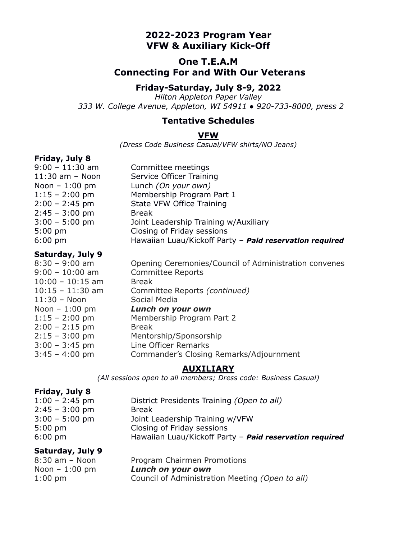# **2022-2023 Program Year VFW & Auxiliary Kick-Off**

# **One T.E.A.M Connecting For and With Our Veterans**

## **Friday-Saturday, July 8-9, 2022**

*Hilton Appleton Paper Valley 333 W. College Avenue, Appleton, WI 54911 ● 920-733-8000, press 2*

#### **Tentative Schedules**

#### **VFW**

*(Dress Code Business Casual/VFW shirts/NO Jeans)*

## **Friday, July 8**

| $9:00 - 11:30$ am   | Committee meetings                                      |
|---------------------|---------------------------------------------------------|
| $11:30$ am $-$ Noon | Service Officer Training                                |
| Noon $-1:00$ pm     | Lunch (On your own)                                     |
| $1:15 - 2:00$ pm    | Membership Program Part 1                               |
| $2:00 - 2:45$ pm    | State VFW Office Training                               |
| $2:45 - 3:00$ pm    | <b>Break</b>                                            |
| $3:00 - 5:00$ pm    | Joint Leadership Training w/Auxiliary                   |
| $5:00 \text{ pm}$   | Closing of Friday sessions                              |
| $6:00 \text{ pm}$   | Hawaiian Luau/Kickoff Party - Paid reservation required |
|                     |                                                         |

#### **Saturday, July 9**

| $8:30 - 9:00$ am   | Opening Ceremonies/Council of Administration convenes |
|--------------------|-------------------------------------------------------|
| $9:00 - 10:00$ am  | <b>Committee Reports</b>                              |
| $10:00 - 10:15$ am | <b>Break</b>                                          |
| $10:15 - 11:30$ am | Committee Reports (continued)                         |
| $11:30 - N$ oon    | Social Media                                          |
| Noon $-1:00$ pm    | Lunch on your own                                     |
| $1:15 - 2:00$ pm   | Membership Program Part 2                             |
| $2:00 - 2:15$ pm   | <b>Break</b>                                          |
| $2:15 - 3:00$ pm   | Mentorship/Sponsorship                                |
| $3:00 - 3:45$ pm   | Line Officer Remarks                                  |
| $3:45 - 4:00$ pm   | Commander's Closing Remarks/Adjournment               |
|                    |                                                       |

#### **AUXILIARY**

*(All sessions open to all members; Dress code: Business Casual)*

| Friday, July 8    |                                                         |
|-------------------|---------------------------------------------------------|
| $1:00 - 2:45$ pm  | District Presidents Training (Open to all)              |
| $2:45 - 3:00$ pm  | <b>Break</b>                                            |
| $3:00 - 5:00$ pm  | Joint Leadership Training w/VFW                         |
| $5:00 \text{ pm}$ | Closing of Friday sessions                              |
| $6:00 \text{ pm}$ | Hawaiian Luau/Kickoff Party - Paid reservation required |

#### **Saturday, July 9**

| $8:30$ am $-$ Noon | Program Chairmen Promotions                     |
|--------------------|-------------------------------------------------|
| Noon $-1:00$ pm    | Lunch on your own                               |
| $1:00$ pm          | Council of Administration Meeting (Open to all) |